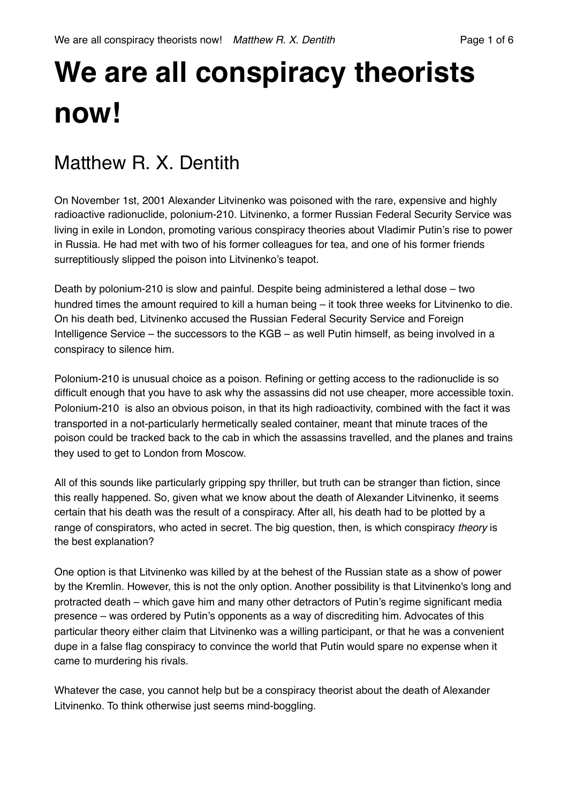# **We are all conspiracy theorists now!**

## Matthew R X Dentith

On November 1st, 2001 Alexander Litvinenko was poisoned with the rare, expensive and highly radioactive radionuclide, polonium-210. Litvinenko, a former Russian Federal Security Service was living in exile in London, promoting various conspiracy theories about Vladimir Putin's rise to power in Russia. He had met with two of his former colleagues for tea, and one of his former friends surreptitiously slipped the poison into Litvinenko's teapot.

Death by polonium-210 is slow and painful. Despite being administered a lethal dose – two hundred times the amount required to kill a human being – it took three weeks for Litvinenko to die. On his death bed, Litvinenko accused the Russian Federal Security Service and Foreign Intelligence Service – the successors to the KGB – as well Putin himself, as being involved in a conspiracy to silence him.

Polonium-210 is unusual choice as a poison. Refining or getting access to the radionuclide is so difficult enough that you have to ask why the assassins did not use cheaper, more accessible toxin. Polonium-210 is also an obvious poison, in that its high radioactivity, combined with the fact it was transported in a not-particularly hermetically sealed container, meant that minute traces of the poison could be tracked back to the cab in which the assassins travelled, and the planes and trains they used to get to London from Moscow.

All of this sounds like particularly gripping spy thriller, but truth can be stranger than fiction, since this really happened. So, given what we know about the death of Alexander Litvinenko, it seems certain that his death was the result of a conspiracy. After all, his death had to be plotted by a range of conspirators, who acted in secret. The big question, then, is which conspiracy *theory* is the best explanation?

One option is that Litvinenko was killed by at the behest of the Russian state as a show of power by the Kremlin. However, this is not the only option. Another possibility is that Litvinenko's long and protracted death – which gave him and many other detractors of Putin's regime significant media presence – was ordered by Putin's opponents as a way of discrediting him. Advocates of this particular theory either claim that Litvinenko was a willing participant, or that he was a convenient dupe in a false flag conspiracy to convince the world that Putin would spare no expense when it came to murdering his rivals.

Whatever the case, you cannot help but be a conspiracy theorist about the death of Alexander Litvinenko. To think otherwise just seems mind-boggling.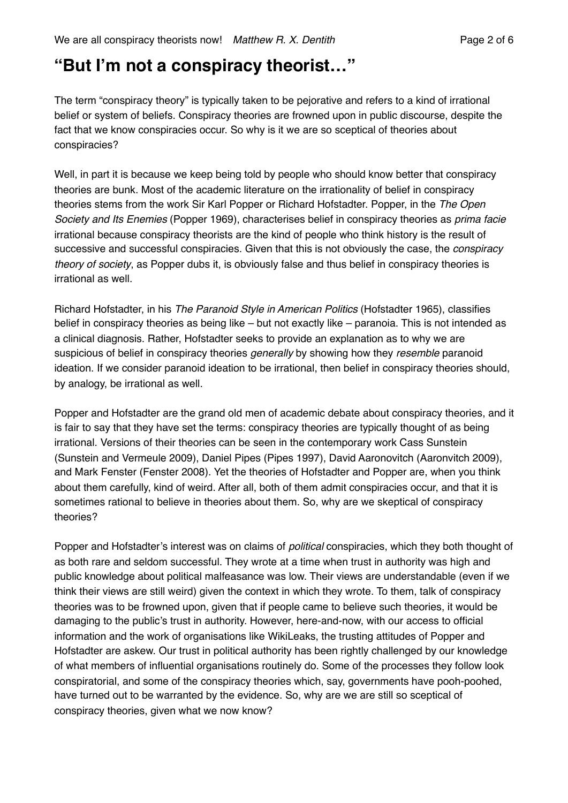#### **"But I'm not a conspiracy theorist…"**

The term "conspiracy theory" is typically taken to be pejorative and refers to a kind of irrational belief or system of beliefs. Conspiracy theories are frowned upon in public discourse, despite the fact that we know conspiracies occur. So why is it we are so sceptical of theories about conspiracies?

Well, in part it is because we keep being told by people who should know better that conspiracy theories are bunk. Most of the academic literature on the irrationality of belief in conspiracy theories stems from the work Sir Karl Popper or Richard Hofstadter. Popper, in the *The Open Society and Its Enemies* (Popper 1969), characterises belief in conspiracy theories as *prima facie* irrational because conspiracy theorists are the kind of people who think history is the result of successive and successful conspiracies. Given that this is not obviously the case, the *conspiracy theory of society*, as Popper dubs it, is obviously false and thus belief in conspiracy theories is irrational as well.

Richard Hofstadter, in his *The Paranoid Style in American Politics* (Hofstadter 1965), classifies belief in conspiracy theories as being like – but not exactly like – paranoia. This is not intended as a clinical diagnosis. Rather, Hofstadter seeks to provide an explanation as to why we are suspicious of belief in conspiracy theories *generally* by showing how they *resemble* paranoid ideation. If we consider paranoid ideation to be irrational, then belief in conspiracy theories should, by analogy, be irrational as well.

Popper and Hofstadter are the grand old men of academic debate about conspiracy theories, and it is fair to say that they have set the terms: conspiracy theories are typically thought of as being irrational. Versions of their theories can be seen in the contemporary work Cass Sunstein (Sunstein and Vermeule 2009), Daniel Pipes (Pipes 1997), David Aaronovitch (Aaronvitch 2009), and Mark Fenster (Fenster 2008). Yet the theories of Hofstadter and Popper are, when you think about them carefully, kind of weird. After all, both of them admit conspiracies occur, and that it is sometimes rational to believe in theories about them. So, why are we skeptical of conspiracy theories?

Popper and Hofstadter's interest was on claims of *political* conspiracies, which they both thought of as both rare and seldom successful. They wrote at a time when trust in authority was high and public knowledge about political malfeasance was low. Their views are understandable (even if we think their views are still weird) given the context in which they wrote. To them, talk of conspiracy theories was to be frowned upon, given that if people came to believe such theories, it would be damaging to the public's trust in authority. However, here-and-now, with our access to official information and the work of organisations like WikiLeaks, the trusting attitudes of Popper and Hofstadter are askew. Our trust in political authority has been rightly challenged by our knowledge of what members of influential organisations routinely do. Some of the processes they follow look conspiratorial, and some of the conspiracy theories which, say, governments have pooh-poohed, have turned out to be warranted by the evidence. So, why are we are still so sceptical of conspiracy theories, given what we now know?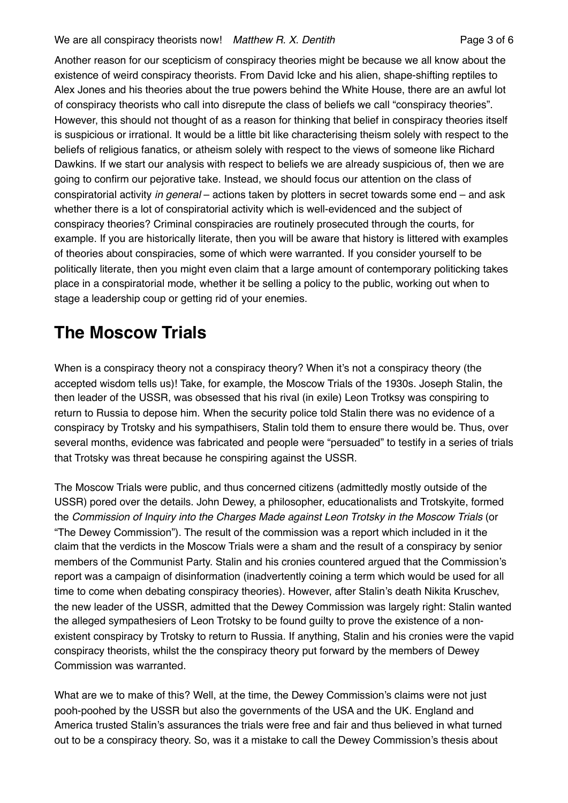Another reason for our scepticism of conspiracy theories might be because we all know about the existence of weird conspiracy theorists. From David Icke and his alien, shape-shifting reptiles to Alex Jones and his theories about the true powers behind the White House, there are an awful lot of conspiracy theorists who call into disrepute the class of beliefs we call "conspiracy theories". However, this should not thought of as a reason for thinking that belief in conspiracy theories itself is suspicious or irrational. It would be a little bit like characterising theism solely with respect to the beliefs of religious fanatics, or atheism solely with respect to the views of someone like Richard Dawkins. If we start our analysis with respect to beliefs we are already suspicious of, then we are going to confirm our pejorative take. Instead, we should focus our attention on the class of conspiratorial activity *in general* – actions taken by plotters in secret towards some end – and ask whether there is a lot of conspiratorial activity which is well-evidenced and the subject of conspiracy theories? Criminal conspiracies are routinely prosecuted through the courts, for example. If you are historically literate, then you will be aware that history is littered with examples of theories about conspiracies, some of which were warranted. If you consider yourself to be politically literate, then you might even claim that a large amount of contemporary politicking takes place in a conspiratorial mode, whether it be selling a policy to the public, working out when to stage a leadership coup or getting rid of your enemies.

## **The Moscow Trials**

When is a conspiracy theory not a conspiracy theory? When it's not a conspiracy theory (the accepted wisdom tells us)! Take, for example, the Moscow Trials of the 1930s. Joseph Stalin, the then leader of the USSR, was obsessed that his rival (in exile) Leon Trotksy was conspiring to return to Russia to depose him. When the security police told Stalin there was no evidence of a conspiracy by Trotsky and his sympathisers, Stalin told them to ensure there would be. Thus, over several months, evidence was fabricated and people were "persuaded" to testify in a series of trials that Trotsky was threat because he conspiring against the USSR.

The Moscow Trials were public, and thus concerned citizens (admittedly mostly outside of the USSR) pored over the details. John Dewey, a philosopher, educationalists and Trotskyite, formed the *Commission of Inquiry into the Charges Made against Leon Trotsky in the Moscow Trials* (or "The Dewey Commission"). The result of the commission was a report which included in it the claim that the verdicts in the Moscow Trials were a sham and the result of a conspiracy by senior members of the Communist Party. Stalin and his cronies countered argued that the Commission's report was a campaign of disinformation (inadvertently coining a term which would be used for all time to come when debating conspiracy theories). However, after Stalin's death Nikita Kruschev, the new leader of the USSR, admitted that the Dewey Commission was largely right: Stalin wanted the alleged sympathesiers of Leon Trotsky to be found guilty to prove the existence of a nonexistent conspiracy by Trotsky to return to Russia. If anything, Stalin and his cronies were the vapid conspiracy theorists, whilst the the conspiracy theory put forward by the members of Dewey Commission was warranted.

What are we to make of this? Well, at the time, the Dewey Commission's claims were not just pooh-poohed by the USSR but also the governments of the USA and the UK. England and America trusted Stalin's assurances the trials were free and fair and thus believed in what turned out to be a conspiracy theory. So, was it a mistake to call the Dewey Commission's thesis about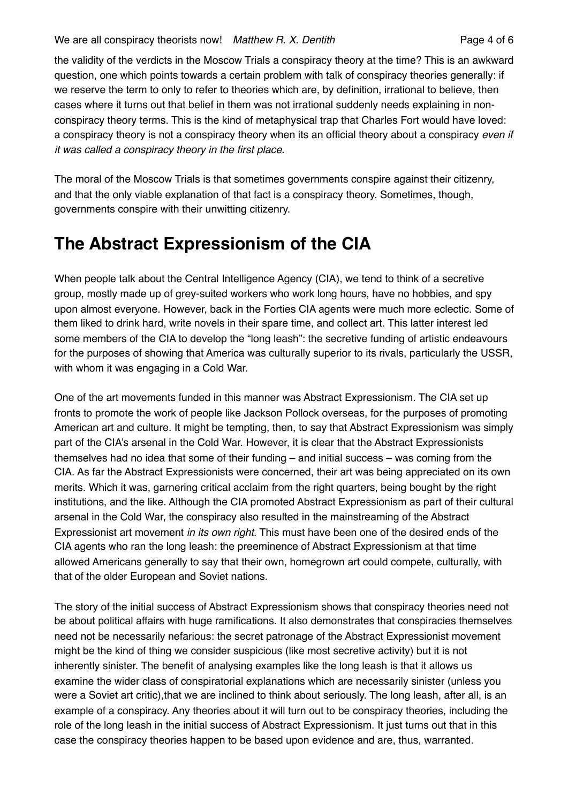the validity of the verdicts in the Moscow Trials a conspiracy theory at the time? This is an awkward question, one which points towards a certain problem with talk of conspiracy theories generally: if we reserve the term to only to refer to theories which are, by definition, irrational to believe, then cases where it turns out that belief in them was not irrational suddenly needs explaining in nonconspiracy theory terms. This is the kind of metaphysical trap that Charles Fort would have loved: a conspiracy theory is not a conspiracy theory when its an official theory about a conspiracy *even if it was called a conspiracy theory in the first place*.

The moral of the Moscow Trials is that sometimes governments conspire against their citizenry, and that the only viable explanation of that fact is a conspiracy theory. Sometimes, though, governments conspire with their unwitting citizenry.

#### **The Abstract Expressionism of the CIA**

When people talk about the Central Intelligence Agency (CIA), we tend to think of a secretive group, mostly made up of grey-suited workers who work long hours, have no hobbies, and spy upon almost everyone. However, back in the Forties CIA agents were much more eclectic. Some of them liked to drink hard, write novels in their spare time, and collect art. This latter interest led some members of the CIA to develop the "long leash": the secretive funding of artistic endeavours for the purposes of showing that America was culturally superior to its rivals, particularly the USSR, with whom it was engaging in a Cold War.

One of the art movements funded in this manner was Abstract Expressionism. The CIA set up fronts to promote the work of people like Jackson Pollock overseas, for the purposes of promoting American art and culture. It might be tempting, then, to say that Abstract Expressionism was simply part of the CIA's arsenal in the Cold War. However, it is clear that the Abstract Expressionists themselves had no idea that some of their funding – and initial success – was coming from the CIA. As far the Abstract Expressionists were concerned, their art was being appreciated on its own merits. Which it was, garnering critical acclaim from the right quarters, being bought by the right institutions, and the like. Although the CIA promoted Abstract Expressionism as part of their cultural arsenal in the Cold War, the conspiracy also resulted in the mainstreaming of the Abstract Expressionist art movement *in its own right*. This must have been one of the desired ends of the CIA agents who ran the long leash: the preeminence of Abstract Expressionism at that time allowed Americans generally to say that their own, homegrown art could compete, culturally, with that of the older European and Soviet nations.

The story of the initial success of Abstract Expressionism shows that conspiracy theories need not be about political affairs with huge ramifications. It also demonstrates that conspiracies themselves need not be necessarily nefarious: the secret patronage of the Abstract Expressionist movement might be the kind of thing we consider suspicious (like most secretive activity) but it is not inherently sinister. The benefit of analysing examples like the long leash is that it allows us examine the wider class of conspiratorial explanations which are necessarily sinister (unless you were a Soviet art critic), that we are inclined to think about seriously. The long leash, after all, is an example of a conspiracy. Any theories about it will turn out to be conspiracy theories, including the role of the long leash in the initial success of Abstract Expressionism. It just turns out that in this case the conspiracy theories happen to be based upon evidence and are, thus, warranted.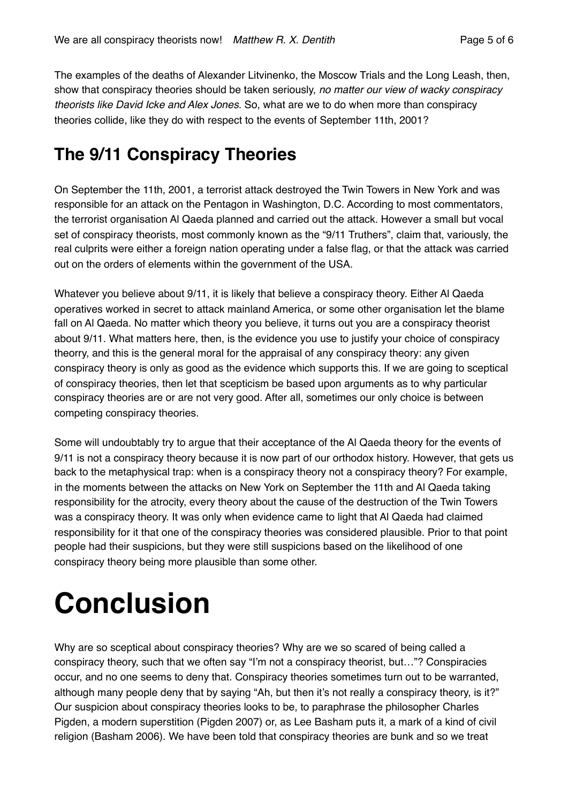The examples of the deaths of Alexander Litvinenko, the Moscow Trials and the Long Leash, then, show that conspiracy theories should be taken seriously, *no matter our view of wacky conspiracy theorists like David Icke and Alex Jones*. So, what are we to do when more than conspiracy theories collide, like they do with respect to the events of September 11th, 2001?

#### **The 9/11 Conspiracy Theories**

On September the 11th, 2001, a terrorist attack destroyed the Twin Towers in New York and was responsible for an attack on the Pentagon in Washington, D.C. According to most commentators, the terrorist organisation Al Qaeda planned and carried out the attack. However a small but vocal set of conspiracy theorists, most commonly known as the "9/11 Truthers", claim that, variously, the real culprits were either a foreign nation operating under a false flag, or that the attack was carried out on the orders of elements within the government of the USA.

Whatever you believe about 9/11, it is likely that believe a conspiracy theory. Either Al Qaeda operatives worked in secret to attack mainland America, or some other organisation let the blame fall on Al Qaeda. No matter which theory you believe, it turns out you are a conspiracy theorist about 9/11. What matters here, then, is the evidence you use to justify your choice of conspiracy theorry, and this is the general moral for the appraisal of any conspiracy theory: any given conspiracy theory is only as good as the evidence which supports this. If we are going to sceptical of conspiracy theories, then let that scepticism be based upon arguments as to why particular conspiracy theories are or are not very good. After all, sometimes our only choice is between competing conspiracy theories.

Some will undoubtably try to argue that their acceptance of the Al Qaeda theory for the events of 9/11 is not a conspiracy theory because it is now part of our orthodox history. However, that gets us back to the metaphysical trap: when is a conspiracy theory not a conspiracy theory? For example, in the moments between the attacks on New York on September the 11th and Al Qaeda taking responsibility for the atrocity, every theory about the cause of the destruction of the Twin Towers was a conspiracy theory. It was only when evidence came to light that Al Qaeda had claimed responsibility for it that one of the conspiracy theories was considered plausible. Prior to that point people had their suspicions, but they were still suspicions based on the likelihood of one conspiracy theory being more plausible than some other.

# **Conclusion**

Why are so sceptical about conspiracy theories? Why are we so scared of being called a conspiracy theory, such that we often say "I'm not a conspiracy theorist, but…"? Conspiracies occur, and no one seems to deny that. Conspiracy theories sometimes turn out to be warranted, although many people deny that by saying "Ah, but then it's not really a conspiracy theory, is it?" Our suspicion about conspiracy theories looks to be, to paraphrase the philosopher Charles Pigden, a modern superstition (Pigden 2007) or, as Lee Basham puts it, a mark of a kind of civil religion (Basham 2006). We have been told that conspiracy theories are bunk and so we treat